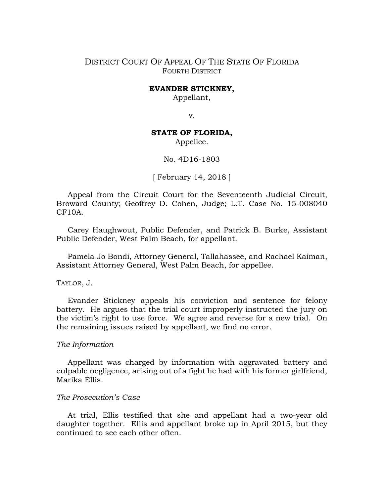## DISTRICT COURT OF APPEAL OF THE STATE OF FLORIDA FOURTH DISTRICT

#### **EVANDER STICKNEY,**

Appellant,

v.

# **STATE OF FLORIDA,**

Appellee.

### No. 4D16-1803

[ February 14, 2018 ]

Appeal from the Circuit Court for the Seventeenth Judicial Circuit, Broward County; Geoffrey D. Cohen, Judge; L.T. Case No. 15-008040 CF10A.

Carey Haughwout, Public Defender, and Patrick B. Burke, Assistant Public Defender, West Palm Beach, for appellant.

Pamela Jo Bondi, Attorney General, Tallahassee, and Rachael Kaiman, Assistant Attorney General, West Palm Beach, for appellee.

### TAYLOR, J.

Evander Stickney appeals his conviction and sentence for felony battery. He argues that the trial court improperly instructed the jury on the victim's right to use force. We agree and reverse for a new trial. On the remaining issues raised by appellant, we find no error.

### *The Information*

Appellant was charged by information with aggravated battery and culpable negligence, arising out of a fight he had with his former girlfriend, Marika Ellis.

### *The Prosecution's Case*

At trial, Ellis testified that she and appellant had a two-year old daughter together. Ellis and appellant broke up in April 2015, but they continued to see each other often.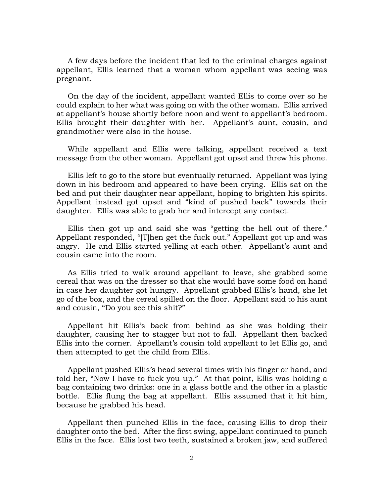A few days before the incident that led to the criminal charges against appellant, Ellis learned that a woman whom appellant was seeing was pregnant.

On the day of the incident, appellant wanted Ellis to come over so he could explain to her what was going on with the other woman. Ellis arrived at appellant's house shortly before noon and went to appellant's bedroom. Ellis brought their daughter with her. Appellant's aunt, cousin, and grandmother were also in the house.

While appellant and Ellis were talking, appellant received a text message from the other woman. Appellant got upset and threw his phone.

Ellis left to go to the store but eventually returned. Appellant was lying down in his bedroom and appeared to have been crying. Ellis sat on the bed and put their daughter near appellant, hoping to brighten his spirits. Appellant instead got upset and "kind of pushed back" towards their daughter. Ellis was able to grab her and intercept any contact.

Ellis then got up and said she was "getting the hell out of there." Appellant responded, "[T]hen get the fuck out." Appellant got up and was angry. He and Ellis started yelling at each other. Appellant's aunt and cousin came into the room.

As Ellis tried to walk around appellant to leave, she grabbed some cereal that was on the dresser so that she would have some food on hand in case her daughter got hungry. Appellant grabbed Ellis's hand, she let go of the box, and the cereal spilled on the floor. Appellant said to his aunt and cousin, "Do you see this shit?"

Appellant hit Ellis's back from behind as she was holding their daughter, causing her to stagger but not to fall. Appellant then backed Ellis into the corner. Appellant's cousin told appellant to let Ellis go, and then attempted to get the child from Ellis.

Appellant pushed Ellis's head several times with his finger or hand, and told her, "Now I have to fuck you up." At that point, Ellis was holding a bag containing two drinks: one in a glass bottle and the other in a plastic bottle. Ellis flung the bag at appellant. Ellis assumed that it hit him, because he grabbed his head.

Appellant then punched Ellis in the face, causing Ellis to drop their daughter onto the bed. After the first swing, appellant continued to punch Ellis in the face. Ellis lost two teeth, sustained a broken jaw, and suffered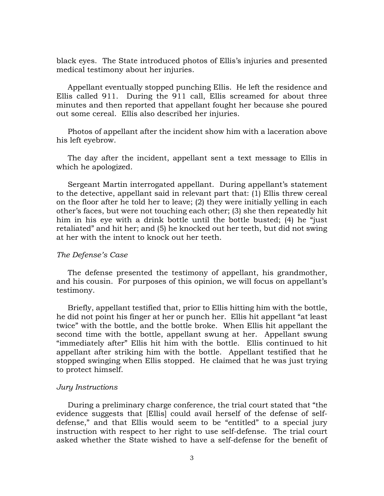black eyes. The State introduced photos of Ellis's injuries and presented medical testimony about her injuries.

Appellant eventually stopped punching Ellis. He left the residence and Ellis called 911. During the 911 call, Ellis screamed for about three minutes and then reported that appellant fought her because she poured out some cereal. Ellis also described her injuries.

Photos of appellant after the incident show him with a laceration above his left eyebrow.

The day after the incident, appellant sent a text message to Ellis in which he apologized.

Sergeant Martin interrogated appellant. During appellant's statement to the detective, appellant said in relevant part that: (1) Ellis threw cereal on the floor after he told her to leave; (2) they were initially yelling in each other's faces, but were not touching each other; (3) she then repeatedly hit him in his eye with a drink bottle until the bottle busted; (4) he "just retaliated" and hit her; and (5) he knocked out her teeth, but did not swing at her with the intent to knock out her teeth.

#### *The Defense's Case*

The defense presented the testimony of appellant, his grandmother, and his cousin. For purposes of this opinion, we will focus on appellant's testimony.

Briefly, appellant testified that, prior to Ellis hitting him with the bottle, he did not point his finger at her or punch her. Ellis hit appellant "at least twice" with the bottle, and the bottle broke. When Ellis hit appellant the second time with the bottle, appellant swung at her. Appellant swung "immediately after" Ellis hit him with the bottle. Ellis continued to hit appellant after striking him with the bottle. Appellant testified that he stopped swinging when Ellis stopped. He claimed that he was just trying to protect himself.

### *Jury Instructions*

During a preliminary charge conference, the trial court stated that "the evidence suggests that [Ellis] could avail herself of the defense of selfdefense," and that Ellis would seem to be "entitled" to a special jury instruction with respect to her right to use self-defense. The trial court asked whether the State wished to have a self-defense for the benefit of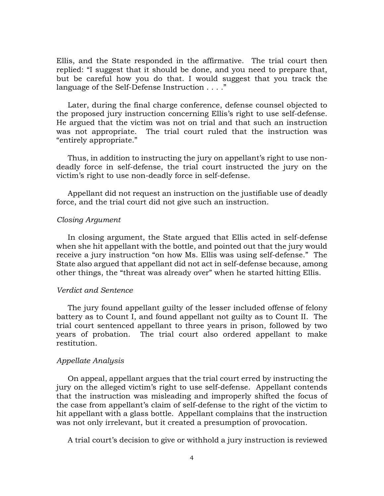Ellis, and the State responded in the affirmative. The trial court then replied: "I suggest that it should be done, and you need to prepare that, but be careful how you do that. I would suggest that you track the language of the Self-Defense Instruction . . . ."

Later, during the final charge conference, defense counsel objected to the proposed jury instruction concerning Ellis's right to use self-defense. He argued that the victim was not on trial and that such an instruction was not appropriate. The trial court ruled that the instruction was "entirely appropriate."

Thus, in addition to instructing the jury on appellant's right to use nondeadly force in self-defense, the trial court instructed the jury on the victim's right to use non-deadly force in self-defense.

Appellant did not request an instruction on the justifiable use of deadly force, and the trial court did not give such an instruction.

#### *Closing Argument*

In closing argument, the State argued that Ellis acted in self-defense when she hit appellant with the bottle, and pointed out that the jury would receive a jury instruction "on how Ms. Ellis was using self-defense." The State also argued that appellant did not act in self-defense because, among other things, the "threat was already over" when he started hitting Ellis.

#### *Verdict and Sentence*

The jury found appellant guilty of the lesser included offense of felony battery as to Count I, and found appellant not guilty as to Count II. The trial court sentenced appellant to three years in prison, followed by two years of probation. The trial court also ordered appellant to make restitution.

### *Appellate Analysis*

On appeal, appellant argues that the trial court erred by instructing the jury on the alleged victim's right to use self-defense. Appellant contends that the instruction was misleading and improperly shifted the focus of the case from appellant's claim of self-defense to the right of the victim to hit appellant with a glass bottle. Appellant complains that the instruction was not only irrelevant, but it created a presumption of provocation.

A trial court's decision to give or withhold a jury instruction is reviewed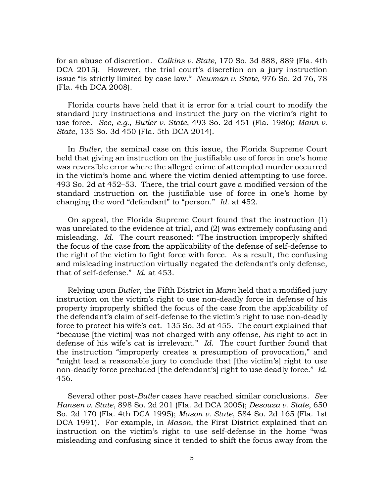for an abuse of discretion. *Calkins v. State*, 170 So. 3d 888, 889 (Fla. 4th DCA 2015). However, the trial court's discretion on a jury instruction issue "is strictly limited by case law." *Newman v. State*, 976 So. 2d 76, 78 (Fla. 4th DCA 2008).

Florida courts have held that it is error for a trial court to modify the standard jury instructions and instruct the jury on the victim's right to use force. *See*, *e.g.*, *Butler v. State*, 493 So. 2d 451 (Fla. 1986); *Mann v. State*, 135 So. 3d 450 (Fla. 5th DCA 2014).

In *Butler*, the seminal case on this issue, the Florida Supreme Court held that giving an instruction on the justifiable use of force in one's home was reversible error where the alleged crime of attempted murder occurred in the victim's home and where the victim denied attempting to use force. 493 So. 2d at 452–53. There, the trial court gave a modified version of the standard instruction on the justifiable use of force in one's home by changing the word "defendant" to "person." *Id*. at 452.

On appeal, the Florida Supreme Court found that the instruction (1) was unrelated to the evidence at trial, and (2) was extremely confusing and misleading. *Id*. The court reasoned: "The instruction improperly shifted the focus of the case from the applicability of the defense of self-defense to the right of the victim to fight force with force. As a result, the confusing and misleading instruction virtually negated the defendant's only defense, that of self-defense." *Id*. at 453.

Relying upon *Butler*, the Fifth District in *Mann* held that a modified jury instruction on the victim's right to use non-deadly force in defense of his property improperly shifted the focus of the case from the applicability of the defendant's claim of self-defense to the victim's right to use non-deadly force to protect his wife's cat. 135 So. 3d at 455. The court explained that "because [the victim] was not charged with any offense, *his* right to act in defense of his wife's cat is irrelevant." *Id*. The court further found that the instruction "improperly creates a presumption of provocation," and "might lead a reasonable jury to conclude that [the victim's] right to use non-deadly force precluded [the defendant's] right to use deadly force." *Id*. 456.

Several other post-*Butler* cases have reached similar conclusions. *See Hansen v. State*, 898 So. 2d 201 (Fla. 2d DCA 2005); *Desouza v. State*, 650 So. 2d 170 (Fla. 4th DCA 1995); *Mason v. State*, 584 So. 2d 165 (Fla. 1st DCA 1991). For example, in *Mason*, the First District explained that an instruction on the victim's right to use self-defense in the home "was misleading and confusing since it tended to shift the focus away from the